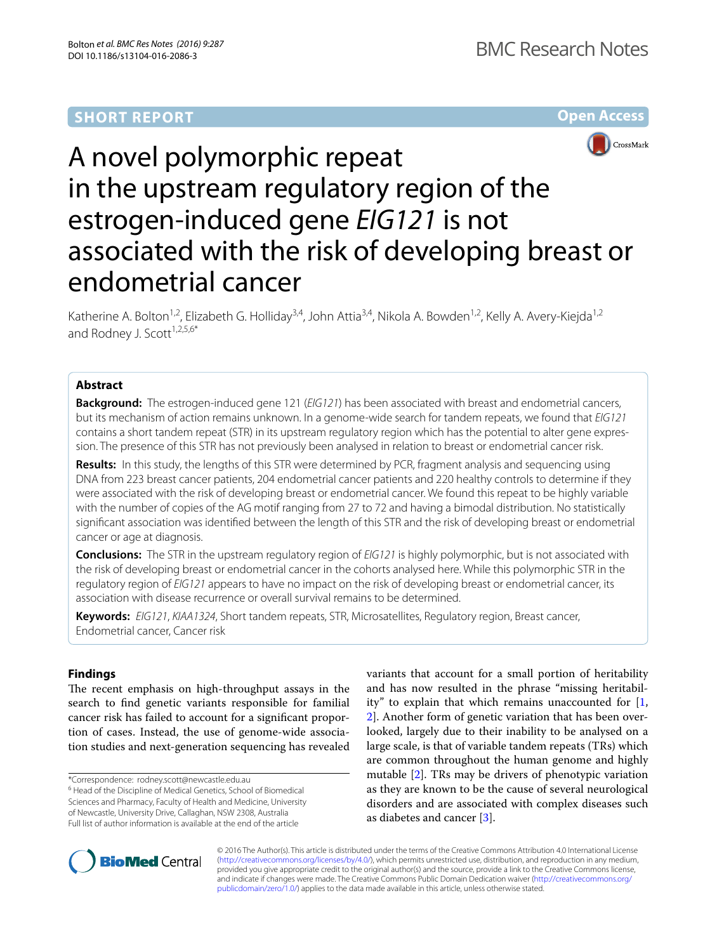# **SHORT REPORT**

# **Open Access**



# A novel polymorphic repeat in the upstream regulatory region of the estrogen-induced gene *EIG121* is not associated with the risk of developing breast or endometrial cancer

Katherine A. Bolton<sup>1,2</sup>, Elizabeth G. Holliday<sup>3,4</sup>, John Attia<sup>3,4</sup>, Nikola A. Bowden<sup>1,2</sup>, Kelly A. Avery-Kiejda<sup>1,2</sup> and Rodney J. Scott<sup>1,2,5,6\*</sup>

## **Abstract**

**Background:** The estrogen-induced gene 121 (*EIG121*) has been associated with breast and endometrial cancers, but its mechanism of action remains unknown. In a genome-wide search for tandem repeats, we found that *EIG121* contains a short tandem repeat (STR) in its upstream regulatory region which has the potential to alter gene expres‑ sion. The presence of this STR has not previously been analysed in relation to breast or endometrial cancer risk.

**Results:** In this study, the lengths of this STR were determined by PCR, fragment analysis and sequencing using DNA from 223 breast cancer patients, 204 endometrial cancer patients and 220 healthy controls to determine if they were associated with the risk of developing breast or endometrial cancer. We found this repeat to be highly variable with the number of copies of the AG motif ranging from 27 to 72 and having a bimodal distribution. No statistically significant association was identified between the length of this STR and the risk of developing breast or endometrial cancer or age at diagnosis.

**Conclusions:** The STR in the upstream regulatory region of *EIG121* is highly polymorphic, but is not associated with the risk of developing breast or endometrial cancer in the cohorts analysed here. While this polymorphic STR in the regulatory region of *EIG121* appears to have no impact on the risk of developing breast or endometrial cancer, its association with disease recurrence or overall survival remains to be determined.

**Keywords:** *EIG121*, *KIAA1324*, Short tandem repeats, STR, Microsatellites, Regulatory region, Breast cancer, Endometrial cancer, Cancer risk

# **Findings**

The recent emphasis on high-throughput assays in the search to find genetic variants responsible for familial cancer risk has failed to account for a significant proportion of cases. Instead, the use of genome-wide association studies and next-generation sequencing has revealed

\*Correspondence: rodney.scott@newcastle.edu.au

<sup>6</sup> Head of the Discipline of Medical Genetics, School of Biomedical Sciences and Pharmacy, Faculty of Health and Medicine, University of Newcastle, University Drive, Callaghan, NSW 2308, Australia Full list of author information is available at the end of the article

variants that account for a small portion of heritability and has now resulted in the phrase "missing heritability" to explain that which remains unaccounted for [\[1](#page-3-0), [2\]](#page-3-1). Another form of genetic variation that has been overlooked, largely due to their inability to be analysed on a large scale, is that of variable tandem repeats (TRs) which are common throughout the human genome and highly mutable [\[2](#page-3-1)]. TRs may be drivers of phenotypic variation as they are known to be the cause of several neurological disorders and are associated with complex diseases such as diabetes and cancer [\[3](#page-3-2)].



© 2016 The Author(s). This article is distributed under the terms of the Creative Commons Attribution 4.0 International License [\(http://creativecommons.org/licenses/by/4.0/\)](http://creativecommons.org/licenses/by/4.0/), which permits unrestricted use, distribution, and reproduction in any medium, provided you give appropriate credit to the original author(s) and the source, provide a link to the Creative Commons license, and indicate if changes were made. The Creative Commons Public Domain Dedication waiver ([http://creativecommons.org/](http://creativecommons.org/publicdomain/zero/1.0/) [publicdomain/zero/1.0/](http://creativecommons.org/publicdomain/zero/1.0/)) applies to the data made available in this article, unless otherwise stated.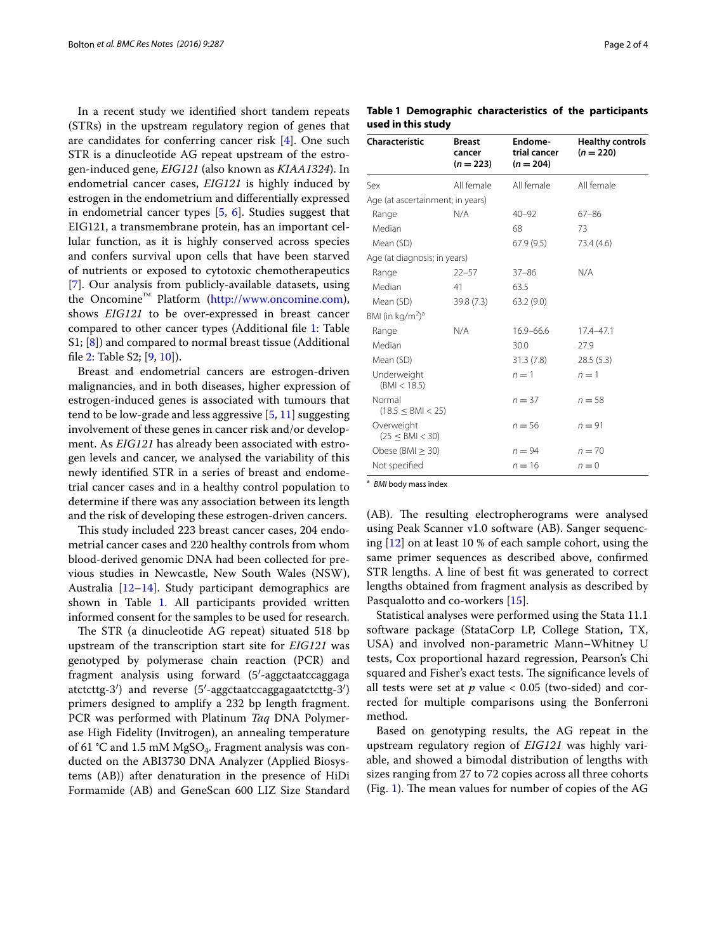In a recent study we identified short tandem repeats (STRs) in the upstream regulatory region of genes that are candidates for conferring cancer risk [[4\]](#page-3-3). One such STR is a dinucleotide AG repeat upstream of the estrogen-induced gene, *EIG121* (also known as *KIAA1324*). In endometrial cancer cases, *EIG121* is highly induced by estrogen in the endometrium and differentially expressed in endometrial cancer types [[5,](#page-3-4) [6\]](#page-3-5). Studies suggest that EIG121, a transmembrane protein, has an important cellular function, as it is highly conserved across species and confers survival upon cells that have been starved of nutrients or exposed to cytotoxic chemotherapeutics [[7\]](#page-3-6). Our analysis from publicly-available datasets, using the Oncomine™ Platform (<http://www.oncomine.com>), shows *EIG121* to be over-expressed in breast cancer compared to other cancer types (Additional file [1:](#page-3-7) Table S1; [\[8](#page-3-8)]) and compared to normal breast tissue (Additional file [2](#page-3-9): Table S2; [\[9,](#page-3-10) [10](#page-3-11)]).

Breast and endometrial cancers are estrogen-driven malignancies, and in both diseases, higher expression of estrogen-induced genes is associated with tumours that tend to be low-grade and less aggressive [\[5](#page-3-4), [11](#page-3-12)] suggesting involvement of these genes in cancer risk and/or development. As *EIG121* has already been associated with estrogen levels and cancer, we analysed the variability of this newly identified STR in a series of breast and endometrial cancer cases and in a healthy control population to determine if there was any association between its length and the risk of developing these estrogen-driven cancers.

This study included 223 breast cancer cases, 204 endometrial cancer cases and 220 healthy controls from whom blood-derived genomic DNA had been collected for previous studies in Newcastle, New South Wales (NSW), Australia [[12](#page-3-13)[–14](#page-3-14)]. Study participant demographics are shown in Table [1.](#page-1-0) All participants provided written informed consent for the samples to be used for research.

The STR (a dinucleotide AG repeat) situated 518 bp upstream of the transcription start site for *EIG121* was genotyped by polymerase chain reaction (PCR) and fragment analysis using forward (5′-aggctaatccaggaga atctcttg-3′) and reverse (5′-aggctaatccaggagaatctcttg-3′) primers designed to amplify a 232 bp length fragment. PCR was performed with Platinum *Taq* DNA Polymerase High Fidelity (Invitrogen), an annealing temperature of 61 °C and 1.5 mM MgSO<sub>4</sub>. Fragment analysis was conducted on the ABI3730 DNA Analyzer (Applied Biosystems (AB)) after denaturation in the presence of HiDi Formamide (AB) and GeneScan 600 LIZ Size Standard

<span id="page-1-0"></span>**Table 1 Demographic characteristics of the participants used in this study**

| <b>Characteristic</b>                    | <b>Breast</b><br>cancer<br>$(n = 223)$ | Endome-<br>trial cancer<br>$(n = 204)$ | <b>Healthy controls</b><br>$(n = 220)$ |  |  |  |
|------------------------------------------|----------------------------------------|----------------------------------------|----------------------------------------|--|--|--|
| Sex                                      | All female                             | All female                             | All female                             |  |  |  |
| Age (at ascertainment; in years)         |                                        |                                        |                                        |  |  |  |
| Range                                    | N/A                                    | $40 - 92$                              | $67 - 86$                              |  |  |  |
| Median                                   |                                        | 68                                     | 73                                     |  |  |  |
| Mean (SD)                                |                                        | 67.9(9.5)                              | 73.4 (4.6)                             |  |  |  |
| Age (at diagnosis; in years)             |                                        |                                        |                                        |  |  |  |
| Range                                    | $22 - 57$                              | $37 - 86$                              | N/A                                    |  |  |  |
| Median                                   | 41                                     | 63.5                                   |                                        |  |  |  |
| Mean (SD)                                | 39.8 (7.3)                             | 63.2(9.0)                              |                                        |  |  |  |
| BMI (in kg/m <sup>2</sup> ) <sup>a</sup> |                                        |                                        |                                        |  |  |  |
| Range                                    | N/A                                    | $16.9 - 66.6$                          | $17.4 - 47.1$                          |  |  |  |
| Median                                   |                                        | 30.0                                   | 27.9                                   |  |  |  |
| Mean (SD)                                |                                        | 31.3(7.8)                              | 28.5(5.3)                              |  |  |  |
| Underweight<br>(BMI < 18.5)              |                                        | $n=1$                                  | $n=1$                                  |  |  |  |
| Normal<br>(18.5 < BM < 25)               |                                        | $n = 37$                               | $n = 58$                               |  |  |  |
| Overweight<br>(25 < BM < 30)             |                                        | $n = 56$                               | $n = 91$                               |  |  |  |
| Obese (BMI $>$ 30)                       |                                        | $n = 94$                               | $n = 70$                               |  |  |  |
| Not specified                            |                                        | $n = 16$                               | $n = 0$                                |  |  |  |

<sup>a</sup> *BMI* body mass index

(AB). The resulting electropherograms were analysed using Peak Scanner v1.0 software (AB). Sanger sequencing [\[12](#page-3-13)] on at least 10 % of each sample cohort, using the same primer sequences as described above, confirmed STR lengths. A line of best fit was generated to correct lengths obtained from fragment analysis as described by Pasqualotto and co-workers [\[15\]](#page-3-15).

Statistical analyses were performed using the Stata 11.1 software package (StataCorp LP, College Station, TX, USA) and involved non-parametric Mann–Whitney U tests, Cox proportional hazard regression, Pearson's Chi squared and Fisher's exact tests. The significance levels of all tests were set at  $p$  value  $< 0.05$  (two-sided) and corrected for multiple comparisons using the Bonferroni method.

Based on genotyping results, the AG repeat in the upstream regulatory region of *EIG121* was highly variable, and showed a bimodal distribution of lengths with sizes ranging from 27 to 72 copies across all three cohorts (Fig. [1](#page-2-0)). The mean values for number of copies of the AG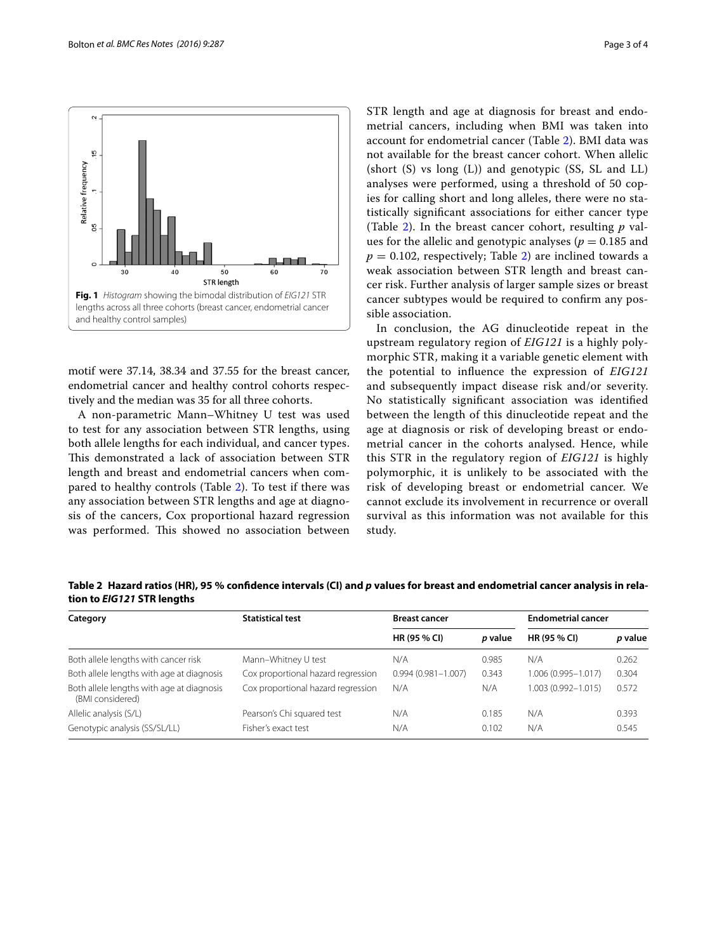

<span id="page-2-0"></span>motif were 37.14, 38.34 and 37.55 for the breast cancer, endometrial cancer and healthy control cohorts respectively and the median was 35 for all three cohorts.

A non-parametric Mann–Whitney U test was used to test for any association between STR lengths, using both allele lengths for each individual, and cancer types. This demonstrated a lack of association between STR length and breast and endometrial cancers when compared to healthy controls (Table [2](#page-2-1)). To test if there was any association between STR lengths and age at diagnosis of the cancers, Cox proportional hazard regression was performed. This showed no association between STR length and age at diagnosis for breast and endometrial cancers, including when BMI was taken into account for endometrial cancer (Table [2\)](#page-2-1). BMI data was not available for the breast cancer cohort. When allelic (short (S) vs long (L)) and genotypic (SS, SL and LL) analyses were performed, using a threshold of 50 copies for calling short and long alleles, there were no statistically significant associations for either cancer type (Table [2\)](#page-2-1). In the breast cancer cohort, resulting *p* values for the allelic and genotypic analyses ( $p = 0.185$  and  $p = 0.102$  $p = 0.102$ , respectively; Table 2) are inclined towards a weak association between STR length and breast cancer risk. Further analysis of larger sample sizes or breast cancer subtypes would be required to confirm any possible association.

In conclusion, the AG dinucleotide repeat in the upstream regulatory region of *EIG121* is a highly polymorphic STR, making it a variable genetic element with the potential to influence the expression of *EIG121* and subsequently impact disease risk and/or severity. No statistically significant association was identified between the length of this dinucleotide repeat and the age at diagnosis or risk of developing breast or endometrial cancer in the cohorts analysed. Hence, while this STR in the regulatory region of *EIG121* is highly polymorphic, it is unlikely to be associated with the risk of developing breast or endometrial cancer. We cannot exclude its involvement in recurrence or overall survival as this information was not available for this study.

<span id="page-2-1"></span>**Table 2 Hazard ratios (HR), 95 % confidence intervals (CI) and** *p* **values for breast and endometrial cancer analysis in relation to** *EIG121* **STR lengths**

| Category                                                      | <b>Statistical test</b>            | <b>Breast cancer</b>   |         | <b>Endometrial cancer</b> |         |
|---------------------------------------------------------------|------------------------------------|------------------------|---------|---------------------------|---------|
|                                                               |                                    | HR (95 % CI)           | p value | HR (95 % CI)              | p value |
| Both allele lengths with cancer risk                          | Mann-Whitney U test                | N/A                    | 0.985   | N/A                       | 0.262   |
| Both allele lengths with age at diagnosis                     | Cox proportional hazard regression | $0.994(0.981 - 1.007)$ | 0.343   | 1.006 (0.995-1.017)       | 0.304   |
| Both allele lengths with age at diagnosis<br>(BMI considered) | Cox proportional hazard regression | N/A                    | N/A     | 1.003 (0.992-1.015)       | 0.572   |
| Allelic analysis (S/L)                                        | Pearson's Chi squared test         | N/A                    | 0.185   | N/A                       | 0.393   |
| Genotypic analysis (SS/SL/LL)                                 | Fisher's exact test                | N/A                    | 0.102   | N/A                       | 0.545   |